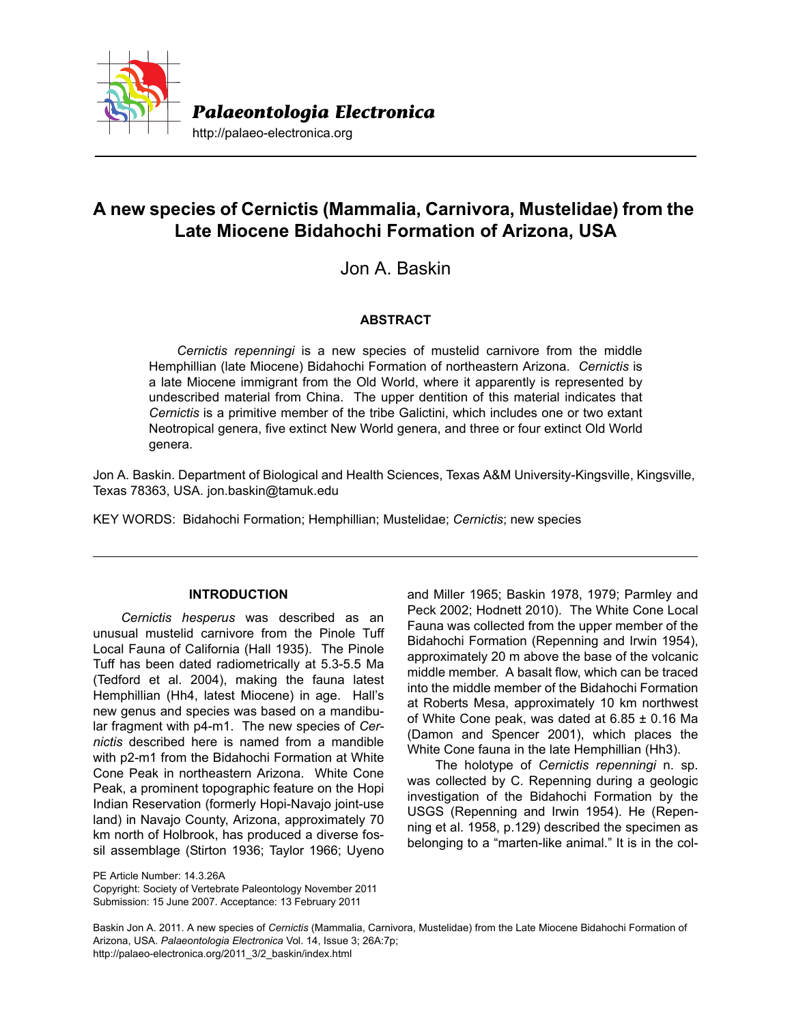

# **A new species of Cernictis (Mammalia, Carnivora, Mustelidae) from the Late Miocene Bidahochi Formation of Arizona, USA**

Jon A. Baskin

# **ABSTRACT**

*Cernictis repenningi* is a new species of mustelid carnivore from the middle Hemphillian (late Miocene) Bidahochi Formation of northeastern Arizona. *Cernictis* is a late Miocene immigrant from the Old World, where it apparently is represented by undescribed material from China. The upper dentition of this material indicates that *Cernictis* is a primitive member of the tribe Galictini, which includes one or two extant Neotropical genera, five extinct New World genera, and three or four extinct Old World genera.

Jon A. Baskin. Department of Biological and Health Sciences, Texas A&M University-Kingsville, Kingsville, Texas 78363, USA. jon.baskin@tamuk.edu

KEY WORDS: Bidahochi Formation; Hemphillian; Mustelidae; *Cernictis*; new species

# **INTRODUCTION**

*Cernictis hesperus* was described as an unusual mustelid carnivore from the Pinole Tuff Local Fauna of California (Hall 1935). The Pinole Tuff has been dated radiometrically at 5.3-5.5 Ma (Tedford et al. 2004), making the fauna latest Hemphillian (Hh4, latest Miocene) in age. Hall's new genus and species was based on a mandibular fragment with p4-m1. The new species of *Cernictis* described here is named from a mandible with p2-m1 from the Bidahochi Formation at White Cone Peak in northeastern Arizona. White Cone Peak, a prominent topographic feature on the Hopi Indian Reservation (formerly Hopi-Navajo joint-use land) in Navajo County, Arizona, approximately 70 km north of Holbrook, has produced a diverse fossil assemblage (Stirton 1936; Taylor 1966; Uyeno

PE Article Number: 14.3.26A Copyright: Society of Vertebrate Paleontology November 2011 Submission: 15 June 2007. Acceptance: 13 February 2011

and Miller 1965; Baskin 1978, 1979; Parmley and Peck 2002; Hodnett 2010). The White Cone Local Fauna was collected from the upper member of the Bidahochi Formation (Repenning and Irwin 1954), approximately 20 m above the base of the volcanic middle member. A basalt flow, which can be traced into the middle member of the Bidahochi Formation at Roberts Mesa, approximately 10 km northwest of White Cone peak, was dated at  $6.85 \pm 0.16$  Ma (Damon and Spencer 2001), which places the White Cone fauna in the late Hemphillian (Hh3).

The holotype of *Cernictis repenningi* n. sp. was collected by C. Repenning during a geologic investigation of the Bidahochi Formation by the USGS (Repenning and Irwin 1954). He (Repenning et al. 1958, p.129) described the specimen as belonging to a "marten-like animal." It is in the col-

Baskin Jon A. 2011. A new species of *Cernictis* (Mammalia, Carnivora, Mustelidae) from the Late Miocene Bidahochi Formation of Arizona, USA. *Palaeontologia Electronica* Vol. 14, Issue 3; 26A:7p; http://palaeo-electronica.org/2011\_3/2\_baskin/index.html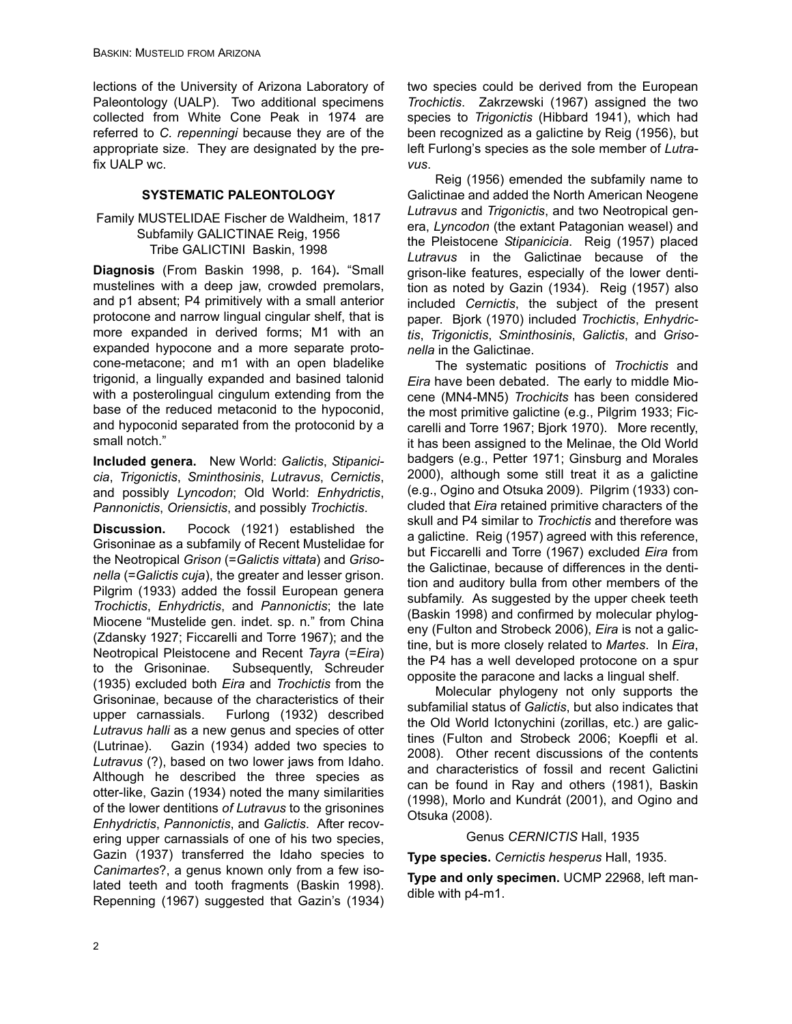lections of the University of Arizona Laboratory of Paleontology (UALP). Two additional specimens collected from White Cone Peak in 1974 are referred to *C. repenningi* because they are of the appropriate size. They are designated by the prefix UALP wc.

# **SYSTEMATIC PALEONTOLOGY**

## Family MUSTELIDAE Fischer de Waldheim, 1817 Subfamily GALICTINAE Reig, 1956 Tribe GALICTINI Baskin, 1998

**Diagnosis** (From Baskin 1998, p. 164)**.** "Small mustelines with a deep jaw, crowded premolars, and p1 absent; P4 primitively with a small anterior protocone and narrow lingual cingular shelf, that is more expanded in derived forms; M1 with an expanded hypocone and a more separate protocone-metacone; and m1 with an open bladelike trigonid, a lingually expanded and basined talonid with a posterolingual cingulum extending from the base of the reduced metaconid to the hypoconid, and hypoconid separated from the protoconid by a small notch."

**Included genera.** New World: *Galictis*, *Stipanicicia*, *Trigonictis*, *Sminthosinis*, *Lutravus*, *Cernictis*, and possibly *Lyncodon*; Old World: *Enhydrictis*, *Pannonictis*, *Oriensictis*, and possibly *Trochictis*.

**Discussion.** Pocock (1921) established the Grisoninae as a subfamily of Recent Mustelidae for the Neotropical *Grison* (=*Galictis vittata*) and *Grisonella* (=*Galictis cuja*), the greater and lesser grison. Pilgrim (1933) added the fossil European genera *Trochictis*, *Enhydrictis*, and *Pannonictis*; the late Miocene "Mustelide gen. indet. sp. n." from China (Zdansky 1927; Ficcarelli and Torre 1967); and the Neotropical Pleistocene and Recent *Tayra* (=*Eira*) to the Grisoninae. Subsequently, Schreuder (1935) excluded both *Eira* and *Trochictis* from the Grisoninae, because of the characteristics of their upper carnassials. Furlong (1932) described *Lutravus halli* as a new genus and species of otter (Lutrinae). Gazin (1934) added two species to *Lutravus* (?), based on two lower jaws from Idaho. Although he described the three species as otter-like, Gazin (1934) noted the many similarities of the lower dentitions *of Lutravus* to the grisonines *Enhydrictis*, *Pannonictis*, and *Galictis*. After recovering upper carnassials of one of his two species, Gazin (1937) transferred the Idaho species to *Canimartes*?, a genus known only from a few isolated teeth and tooth fragments (Baskin 1998). Repenning (1967) suggested that Gazin's (1934) two species could be derived from the European *Trochictis*. Zakrzewski (1967) assigned the two species to *Trigonictis* (Hibbard 1941), which had been recognized as a galictine by Reig (1956), but left Furlong's species as the sole member of *Lutravus*.

Reig (1956) emended the subfamily name to Galictinae and added the North American Neogene *Lutravus* and *Trigonictis*, and two Neotropical genera, *Lyncodon* (the extant Patagonian weasel) and the Pleistocene *Stipanicicia*. Reig (1957) placed *Lutravus* in the Galictinae because of the grison-like features, especially of the lower dentition as noted by Gazin (1934). Reig (1957) also included *Cernictis*, the subject of the present paper. Bjork (1970) included *Trochictis*, *Enhydrictis*, *Trigonictis*, *Sminthosinis*, *Galictis*, and *Grisonella* in the Galictinae.

The systematic positions of *Trochictis* and *Eira* have been debated. The early to middle Miocene (MN4-MN5) *Trochicits* has been considered the most primitive galictine (e.g., Pilgrim 1933; Ficcarelli and Torre 1967; Bjork 1970). More recently, it has been assigned to the Melinae, the Old World badgers (e.g., Petter 1971; Ginsburg and Morales 2000), although some still treat it as a galictine (e.g., Ogino and Otsuka 2009). Pilgrim (1933) concluded that *Eira* retained primitive characters of the skull and P4 similar to *Trochictis* and therefore was a galictine. Reig (1957) agreed with this reference, but Ficcarelli and Torre (1967) excluded *Eira* from the Galictinae, because of differences in the dentition and auditory bulla from other members of the subfamily. As suggested by the upper cheek teeth (Baskin 1998) and confirmed by molecular phylogeny (Fulton and Strobeck 2006), *Eira* is not a galictine, but is more closely related to *Martes*. In *Eira*, the P4 has a well developed protocone on a spur opposite the paracone and lacks a lingual shelf.

Molecular phylogeny not only supports the subfamilial status of *Galictis*, but also indicates that the Old World Ictonychini (zorillas, etc.) are galictines (Fulton and Strobeck 2006; Koepfli et al. 2008). Other recent discussions of the contents and characteristics of fossil and recent Galictini can be found in Ray and others (1981), Baskin (1998), Morlo and Kundrát (2001), and Ogino and Otsuka (2008).

# Genus *CERNICTIS* Hall, 1935

**Type species.** *Cernictis hesperus* Hall, 1935.

**Type and only specimen.** UCMP 22968, left mandible with p4-m1.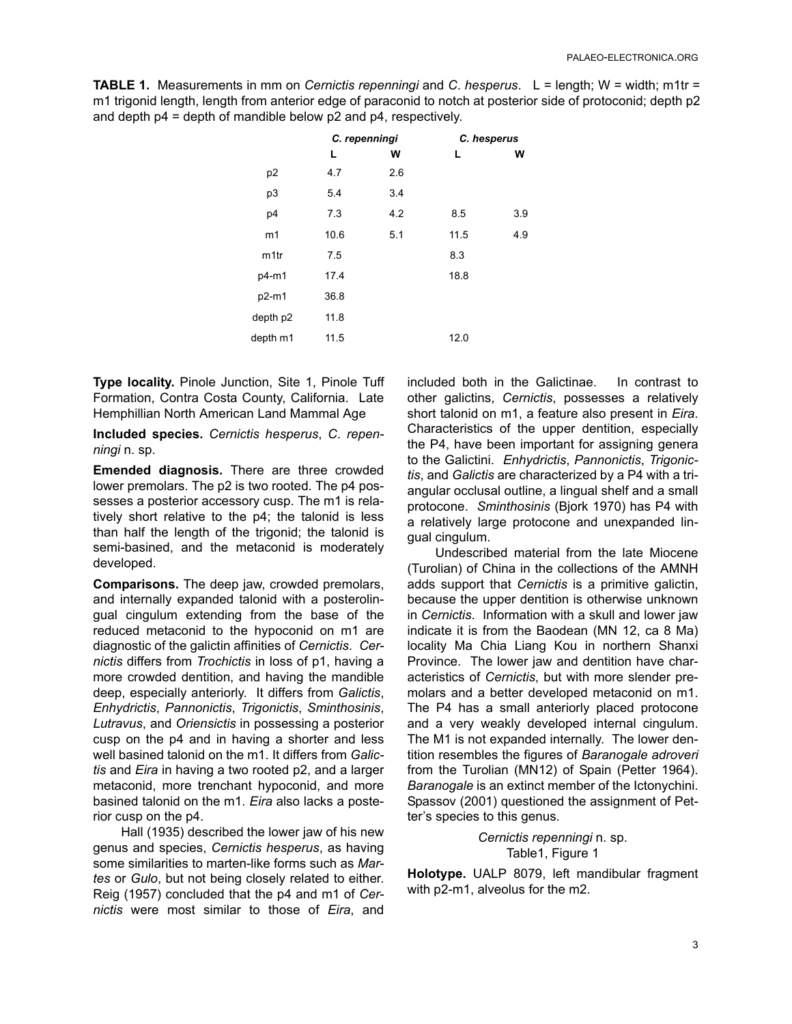**TABLE 1.** Measurements in mm on *Cernictis repenningi* and *C*. *hesperus*. L = length; W = width; m1tr = m1 trigonid length, length from anterior edge of paraconid to notch at posterior side of protoconid; depth p2 and depth p4 = depth of mandible below p2 and p4, respectively.

|                  | C. repenningi |     | C. hesperus |     |
|------------------|---------------|-----|-------------|-----|
|                  | L             | W   | L           | W   |
| p <sub>2</sub>   | 4.7           | 2.6 |             |     |
| p3               | 5.4           | 3.4 |             |     |
| p4               | 7.3           | 4.2 | 8.5         | 3.9 |
| m1               | 10.6          | 5.1 | 11.5        | 4.9 |
| m <sub>1tr</sub> | 7.5           |     | 8.3         |     |
| p4-m1            | 17.4          |     | 18.8        |     |
| p2-m1            | 36.8          |     |             |     |
| depth p2         | 11.8          |     |             |     |
| depth m1         | 11.5          |     | 12.0        |     |
|                  |               |     |             |     |

**Type locality.** Pinole Junction, Site 1, Pinole Tuff Formation, Contra Costa County, California. Late Hemphillian North American Land Mammal Age

**Included species.** *Cernictis hesperus*, *C*. *repenningi* n. sp.

**Emended diagnosis.** There are three crowded lower premolars. The p2 is two rooted. The p4 possesses a posterior accessory cusp. The m1 is relatively short relative to the p4; the talonid is less than half the length of the trigonid; the talonid is semi-basined, and the metaconid is moderately developed.

**Comparisons.** The deep jaw, crowded premolars, and internally expanded talonid with a posterolingual cingulum extending from the base of the reduced metaconid to the hypoconid on m1 are diagnostic of the galictin affinities of *Cernictis*. *Cernictis* differs from *Trochictis* in loss of p1, having a more crowded dentition, and having the mandible deep, especially anteriorly. It differs from *Galictis*, *Enhydrictis*, *Pannonictis*, *Trigonictis*, *Sminthosinis*, *Lutravus*, and *Oriensictis* in possessing a posterior cusp on the p4 and in having a shorter and less well basined talonid on the m1. It differs from *Galictis* and *Eira* in having a two rooted p2, and a larger metaconid, more trenchant hypoconid, and more basined talonid on the m1. *Eira* also lacks a posterior cusp on the p4.

Hall (1935) described the lower jaw of his new genus and species, *Cernictis hesperus*, as having some similarities to marten-like forms such as *Martes* or *Gulo*, but not being closely related to either. Reig (1957) concluded that the p4 and m1 of *Cernictis* were most similar to those of *Eira*, and included both in the Galictinae. In contrast to other galictins, *Cernictis*, possesses a relatively short talonid on m1, a feature also present in *Eira*. Characteristics of the upper dentition, especially the P4, have been important for assigning genera to the Galictini. *Enhydrictis*, *Pannonictis*, *Trigonictis*, and *Galictis* are characterized by a P4 with a triangular occlusal outline, a lingual shelf and a small protocone. *Sminthosinis* (Bjork 1970) has P4 with a relatively large protocone and unexpanded lingual cingulum.

Undescribed material from the late Miocene (Turolian) of China in the collections of the AMNH adds support that *Cernictis* is a primitive galictin, because the upper dentition is otherwise unknown in *Cernictis*. Information with a skull and lower jaw indicate it is from the Baodean (MN 12, ca 8 Ma) locality Ma Chia Liang Kou in northern Shanxi Province. The lower jaw and dentition have characteristics of *Cernictis*, but with more slender premolars and a better developed metaconid on m1. The P4 has a small anteriorly placed protocone and a very weakly developed internal cingulum. The M1 is not expanded internally. The lower dentition resembles the figures of *Baranogale adroveri* from the Turolian (MN12) of Spain (Petter 1964). *Baranogale* is an extinct member of the Ictonychini. Spassov (2001) questioned the assignment of Petter's species to this genus.

> *Cernictis repenningi* n. sp. Table1, Figure 1

**Holotype.** UALP 8079, left mandibular fragment with p2-m1, alveolus for the m2.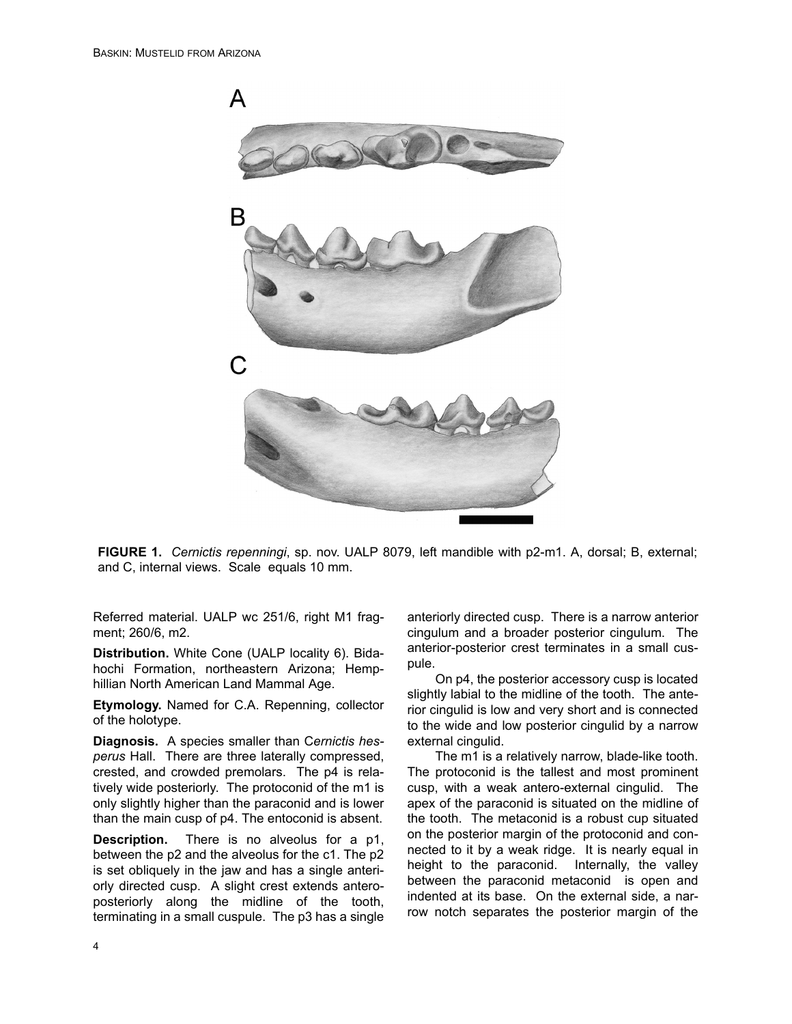

**FIGURE 1.** *Cernictis repenningi*, sp. nov. UALP 8079, left mandible with p2-m1. A, dorsal; B, external; and C, internal views. Scale equals 10 mm.

Referred material. UALP wc 251/6, right M1 fragment; 260/6, m2.

**Distribution.** White Cone (UALP locality 6). Bidahochi Formation, northeastern Arizona; Hemphillian North American Land Mammal Age.

**Etymology.** Named for C.A. Repenning, collector of the holotype.

**Diagnosis.** A species smaller than C*ernictis hesperus* Hall. There are three laterally compressed, crested, and crowded premolars. The p4 is relatively wide posteriorly. The protoconid of the m1 is only slightly higher than the paraconid and is lower than the main cusp of p4. The entoconid is absent.

**Description.** There is no alveolus for a p1, between the p2 and the alveolus for the c1. The p2 is set obliquely in the jaw and has a single anteriorly directed cusp. A slight crest extends anteroposteriorly along the midline of the tooth, terminating in a small cuspule. The p3 has a single anteriorly directed cusp. There is a narrow anterior cingulum and a broader posterior cingulum. The anterior-posterior crest terminates in a small cuspule.

On p4, the posterior accessory cusp is located slightly labial to the midline of the tooth. The anterior cingulid is low and very short and is connected to the wide and low posterior cingulid by a narrow external cingulid.

The m1 is a relatively narrow, blade-like tooth. The protoconid is the tallest and most prominent cusp, with a weak antero-external cingulid. The apex of the paraconid is situated on the midline of the tooth. The metaconid is a robust cup situated on the posterior margin of the protoconid and connected to it by a weak ridge. It is nearly equal in height to the paraconid. Internally, the valley between the paraconid metaconid is open and indented at its base. On the external side, a narrow notch separates the posterior margin of the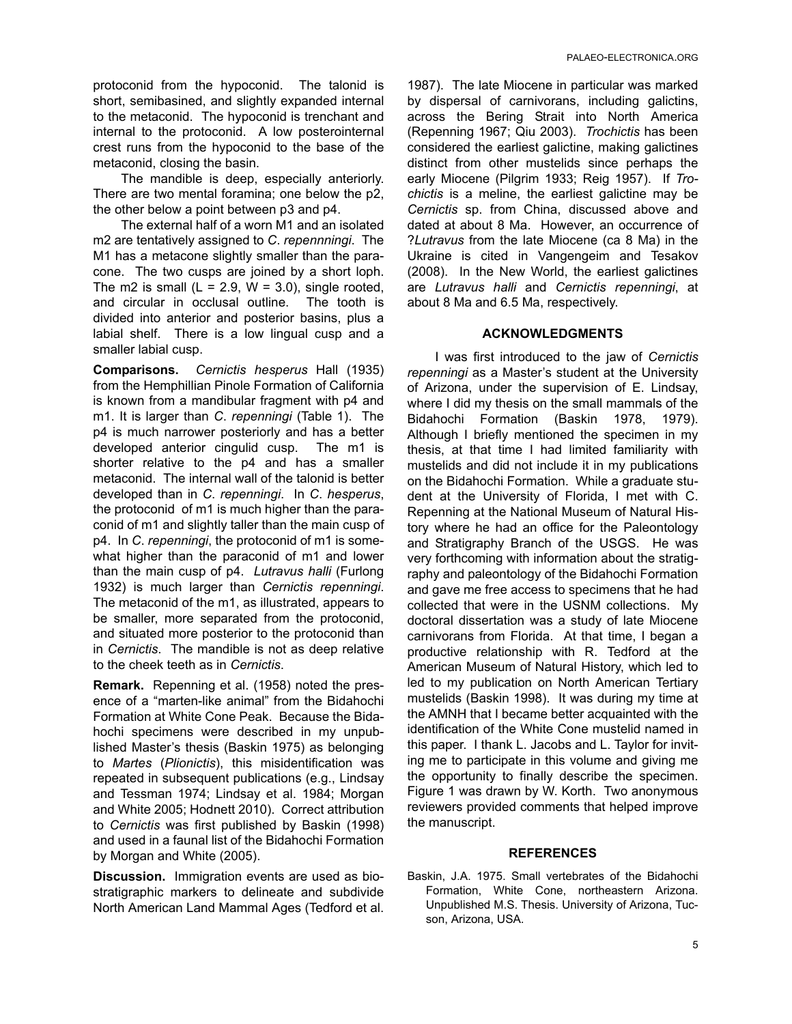protoconid from the hypoconid. The talonid is short, semibasined, and slightly expanded internal to the metaconid. The hypoconid is trenchant and internal to the protoconid. A low posterointernal crest runs from the hypoconid to the base of the metaconid, closing the basin.

The mandible is deep, especially anteriorly. There are two mental foramina; one below the p2, the other below a point between p3 and p4.

The external half of a worn M1 and an isolated m2 are tentatively assigned to *C*. *repennningi*. The M1 has a metacone slightly smaller than the paracone. The two cusps are joined by a short loph. The m2 is small ( $L = 2.9$ ,  $W = 3.0$ ), single rooted, and circular in occlusal outline. The tooth is divided into anterior and posterior basins, plus a labial shelf. There is a low lingual cusp and a smaller labial cusp.

**Comparisons.** *Cernictis hesperus* Hall (1935) from the Hemphillian Pinole Formation of California is known from a mandibular fragment with p4 and m1. It is larger than *C*. *repenningi* (Table 1). The p4 is much narrower posteriorly and has a better developed anterior cingulid cusp. The m1 is shorter relative to the p4 and has a smaller metaconid. The internal wall of the talonid is better developed than in *C*. *repenningi*. In *C*. *hesperus*, the protoconid of m1 is much higher than the paraconid of m1 and slightly taller than the main cusp of p4. In *C*. *repenningi*, the protoconid of m1 is somewhat higher than the paraconid of m1 and lower than the main cusp of p4. *Lutravus halli* (Furlong 1932) is much larger than *Cernictis repenningi*. The metaconid of the m1, as illustrated, appears to be smaller, more separated from the protoconid, and situated more posterior to the protoconid than in *Cernictis*. The mandible is not as deep relative to the cheek teeth as in *Cernictis*.

**Remark.** Repenning et al. (1958) noted the presence of a "marten-like animal" from the Bidahochi Formation at White Cone Peak. Because the Bidahochi specimens were described in my unpublished Master's thesis (Baskin 1975) as belonging to *Martes* (*Plionictis*), this misidentification was repeated in subsequent publications (e.g., Lindsay and Tessman 1974; Lindsay et al. 1984; Morgan and White 2005; Hodnett 2010). Correct attribution to *Cernictis* was first published by Baskin (1998) and used in a faunal list of the Bidahochi Formation by Morgan and White (2005).

**Discussion.** Immigration events are used as biostratigraphic markers to delineate and subdivide North American Land Mammal Ages (Tedford et al.

1987). The late Miocene in particular was marked by dispersal of carnivorans, including galictins, across the Bering Strait into North America (Repenning 1967; Qiu 2003). *Trochictis* has been considered the earliest galictine, making galictines distinct from other mustelids since perhaps the early Miocene (Pilgrim 1933; Reig 1957). If *Trochictis* is a meline, the earliest galictine may be *Cernictis* sp. from China, discussed above and dated at about 8 Ma. However, an occurrence of ?*Lutravus* from the late Miocene (ca 8 Ma) in the Ukraine is cited in Vangengeim and Tesakov (2008). In the New World, the earliest galictines are *Lutravus halli* and *Cernictis repenningi*, at about 8 Ma and 6.5 Ma, respectively.

### **ACKNOWLEDGMENTS**

I was first introduced to the jaw of *Cernictis repenningi* as a Master's student at the University of Arizona, under the supervision of E. Lindsay, where I did my thesis on the small mammals of the Bidahochi Formation (Baskin 1978, 1979). Although I briefly mentioned the specimen in my thesis, at that time I had limited familiarity with mustelids and did not include it in my publications on the Bidahochi Formation. While a graduate student at the University of Florida, I met with C. Repenning at the National Museum of Natural History where he had an office for the Paleontology and Stratigraphy Branch of the USGS. He was very forthcoming with information about the stratigraphy and paleontology of the Bidahochi Formation and gave me free access to specimens that he had collected that were in the USNM collections. My doctoral dissertation was a study of late Miocene carnivorans from Florida. At that time, I began a productive relationship with R. Tedford at the American Museum of Natural History, which led to led to my publication on North American Tertiary mustelids (Baskin 1998). It was during my time at the AMNH that I became better acquainted with the identification of the White Cone mustelid named in this paper. I thank L. Jacobs and L. Taylor for inviting me to participate in this volume and giving me the opportunity to finally describe the specimen. Figure 1 was drawn by W. Korth. Two anonymous reviewers provided comments that helped improve the manuscript.

### **REFERENCES**

Baskin, J.A. 1975. Small vertebrates of the Bidahochi Formation, White Cone, northeastern Arizona. Unpublished M.S. Thesis. University of Arizona, Tucson, Arizona, USA.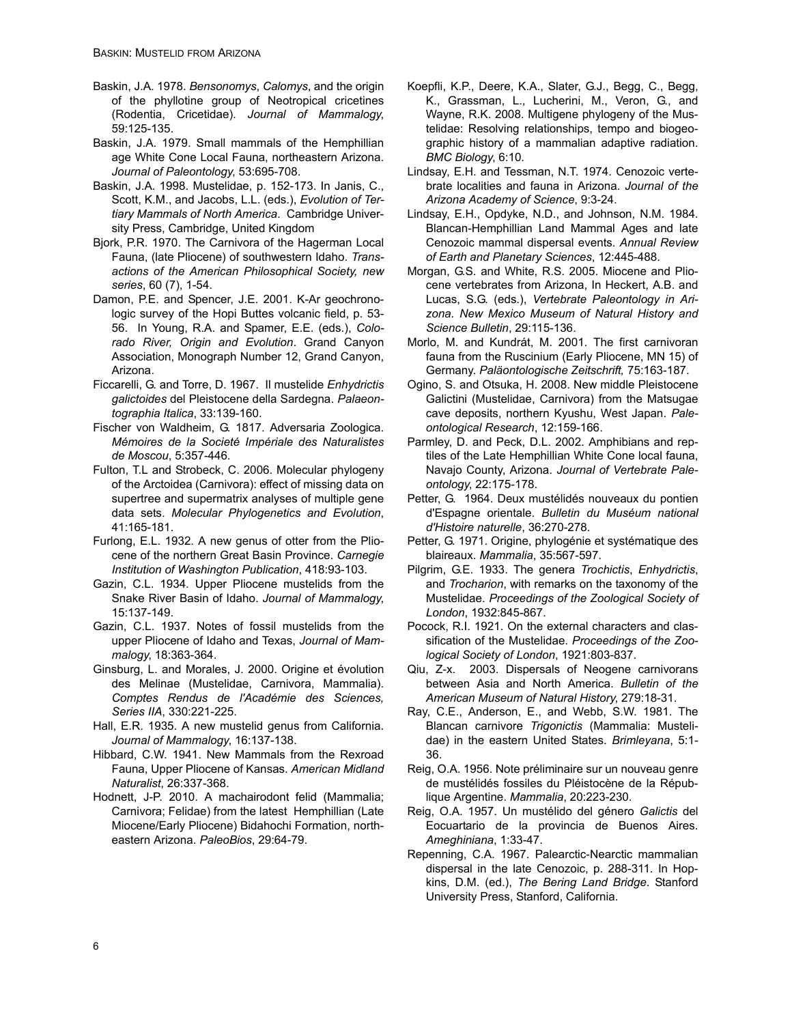- Baskin, J.A. 1978. *Bensonomys*, *Calomys*, and the origin of the phyllotine group of Neotropical cricetines (Rodentia, Cricetidae). *Journal of Mammalogy*, 59:125-135.
- Baskin, J.A. 1979. Small mammals of the Hemphillian age White Cone Local Fauna, northeastern Arizona. *Journal of Paleontology*, 53:695-708.
- Baskin, J.A. 1998. Mustelidae, p. 152-173. In Janis, C., Scott, K.M., and Jacobs, L.L. (eds.), *Evolution of Tertiary Mammals of North America*. Cambridge University Press, Cambridge, United Kingdom
- Bjork, P.R. 1970. The Carnivora of the Hagerman Local Fauna, (late Pliocene) of southwestern Idaho. *Transactions of the American Philosophical Society, new series*, 60 (7), 1-54.
- Damon, P.E. and Spencer, J.E. 2001. K-Ar geochronologic survey of the Hopi Buttes volcanic field, p. 53- 56. In Young, R.A. and Spamer, E.E. (eds.), *Colorado River, Origin and Evolution*. Grand Canyon Association, Monograph Number 12, Grand Canyon, Arizona.
- Ficcarelli, G. and Torre, D. 1967. Il mustelide *Enhydrictis galictoides* del Pleistocene della Sardegna. *Palaeontographia Italica*, 33:139-160.
- Fischer von Waldheim, G. 1817. Adversaria Zoologica. *Mémoires de la Societé Impériale des Naturalistes de Moscou*, 5:357-446.
- Fulton, T.L and Strobeck, C. 2006. Molecular phylogeny of the Arctoidea (Carnivora): effect of missing data on supertree and supermatrix analyses of multiple gene data sets. *Molecular Phylogenetics and Evolution*, 41:165-181.
- Furlong, E.L. 1932. A new genus of otter from the Pliocene of the northern Great Basin Province. *Carnegie Institution of Washington Publication*, 418:93-103.
- Gazin, C.L. 1934. Upper Pliocene mustelids from the Snake River Basin of Idaho. *Journal of Mammalogy*, 15:137-149.
- Gazin, C.L. 1937. Notes of fossil mustelids from the upper Pliocene of Idaho and Texas, *Journal of Mammalogy*, 18:363-364.
- Ginsburg, L. and Morales, J. 2000. Origine et évolution des Melinae (Mustelidae, Carnivora, Mammalia). *Comptes Rendus de l'Académie des Sciences, Series IIA*, 330:221-225.
- Hall, E.R. 1935. A new mustelid genus from California. *Journal of Mammalogy*, 16:137-138.
- Hibbard, C.W. 1941. New Mammals from the Rexroad Fauna, Upper Pliocene of Kansas. *American Midland Naturalist*, 26:337-368.
- Hodnett, J-P. 2010. A machairodont felid (Mammalia; Carnivora; Felidae) from the latest Hemphillian (Late Miocene/Early Pliocene) Bidahochi Formation, northeastern Arizona. *PaleoBios*, 29:64-79.
- Koepfli, K.P., Deere, K.A., Slater, G.J., Begg, C., Begg, K., Grassman, L., Lucherini, M., Veron, G., and Wayne, R.K. 2008. Multigene phylogeny of the Mustelidae: Resolving relationships, tempo and biogeographic history of a mammalian adaptive radiation. *BMC Biology*, 6:10.
- Lindsay, E.H. and Tessman, N.T. 1974. Cenozoic vertebrate localities and fauna in Arizona. *Journal of the Arizona Academy of Science*, 9:3-24.
- Lindsay, E.H., Opdyke, N.D., and Johnson, N.M. 1984. Blancan-Hemphillian Land Mammal Ages and late Cenozoic mammal dispersal events. *Annual Review of Earth and Planetary Sciences*, 12:445-488.
- Morgan, G.S. and White, R.S. 2005. Miocene and Pliocene vertebrates from Arizona, In Heckert, A.B. and Lucas, S.G. (eds.), *Vertebrate Paleontology in Arizona. New Mexico Museum of Natural History and Science Bulletin*, 29:115-136.
- Morlo, M. and Kundrát, M. 2001. The first carnivoran fauna from the Ruscinium (Early Pliocene, MN 15) of Germany. *Paläontologische Zeitschrift,* 75:163-187.
- Ogino, S. and Otsuka, H. 2008. New middle Pleistocene Galictini (Mustelidae, Carnivora) from the Matsugae cave deposits, northern Kyushu, West Japan. *Paleontological Research*, 12:159-166.
- Parmley, D. and Peck, D.L. 2002. Amphibians and reptiles of the Late Hemphillian White Cone local fauna, Navajo County, Arizona. *Journal of Vertebrate Paleontology*, 22:175-178.
- Petter, G. 1964. Deux mustélidés nouveaux du pontien d'Espagne orientale. *Bulletin du Muséum national d'Histoire naturelle*, 36:270-278.
- Petter, G. 1971. Origine, phylogénie et systématique des blaireaux. *Mammalia*, 35:567-597.
- Pilgrim, G.E. 1933. The genera *Trochictis*, *Enhydrictis*, and *Trocharion*, with remarks on the taxonomy of the Mustelidae. *Proceedings of the Zoological Society of London*, 1932:845-867.
- Pocock, R.I. 1921. On the external characters and classification of the Mustelidae. *Proceedings of the Zoological Society of London*, 1921:803-837.
- Qiu, Z-x. 2003. Dispersals of Neogene carnivorans between Asia and North America. *Bulletin of the American Museum of Natural History*, 279:18-31.
- Ray, C.E., Anderson, E., and Webb, S.W. 1981. The Blancan carnivore *Trigonictis* (Mammalia: Mustelidae) in the eastern United States. *Brimleyana*, 5:1- 36.
- Reig, O.A. 1956. Note préliminaire sur un nouveau genre de mustélidés fossiles du Pléistocène de la République Argentine. *Mammalia*, 20:223-230.
- Reig, O.A. 1957. Un mustélido del género *Galictis* del Eocuartario de la provincia de Buenos Aires. *Ameghiniana*, 1:33-47.
- Repenning, C.A. 1967. Palearctic-Nearctic mammalian dispersal in the late Cenozoic, p. 288-311. In Hopkins, D.M. (ed.), *The Bering Land Bridge*. Stanford University Press, Stanford, California.